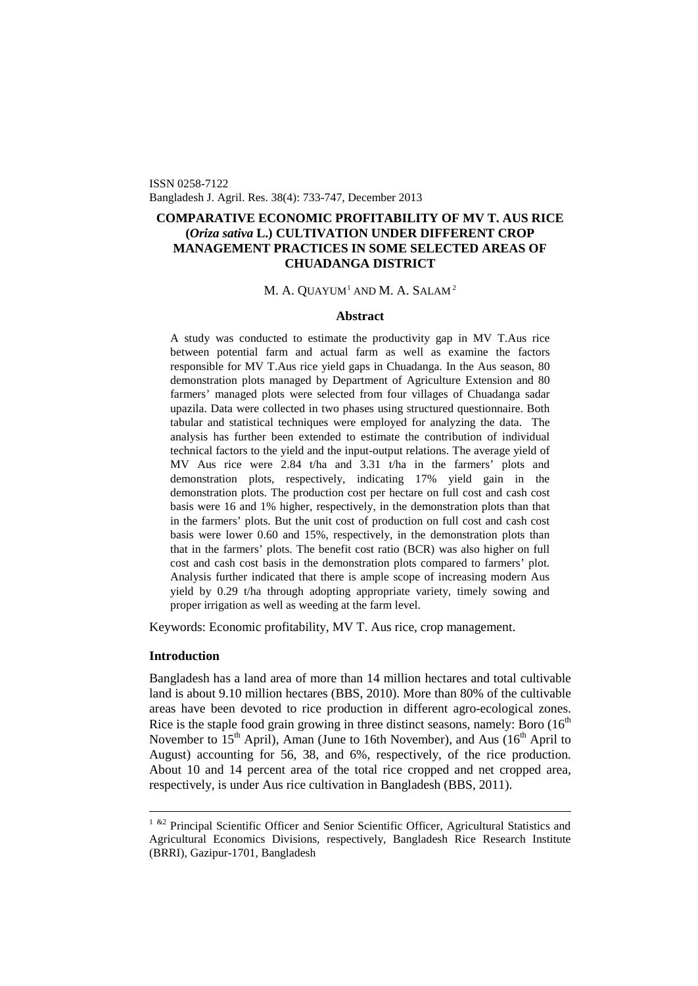ISSN 0258-7122 Bangladesh J. Agril. Res. 38(4): 733-747, December 2013

# **COMPARATIVE ECONOMIC PROFITABILITY OF MV T. AUS RICE (***Oriza sativa* **L.) CULTIVATION UNDER DIFFERENT CROP MANAGEMENT PRACTICES IN SOME SELECTED AREAS OF CHUADANGA DISTRICT**

# M. A. QUAYUM $^{\rm 1}$  $^{\rm 1}$  $^{\rm 1}$  AND M. A. Salam $^{\rm 2}$

# **Abstract**

A study was conducted to estimate the productivity gap in MV T.Aus rice between potential farm and actual farm as well as examine the factors responsible for MV T.Aus rice yield gaps in Chuadanga. In the Aus season, 80 demonstration plots managed by Department of Agriculture Extension and 80 farmers' managed plots were selected from four villages of Chuadanga sadar upazila. Data were collected in two phases using structured questionnaire. Both tabular and statistical techniques were employed for analyzing the data. The analysis has further been extended to estimate the contribution of individual technical factors to the yield and the input-output relations. The average yield of MV Aus rice were 2.84 t/ha and 3.31 t/ha in the farmers' plots and demonstration plots, respectively, indicating 17% yield gain in the demonstration plots. The production cost per hectare on full cost and cash cost basis were 16 and 1% higher, respectively, in the demonstration plots than that in the farmers' plots. But the unit cost of production on full cost and cash cost basis were lower 0.60 and 15%, respectively, in the demonstration plots than that in the farmers' plots. The benefit cost ratio (BCR) was also higher on full cost and cash cost basis in the demonstration plots compared to farmers' plot. Analysis further indicated that there is ample scope of increasing modern Aus yield by 0.29 t/ha through adopting appropriate variety, timely sowing and proper irrigation as well as weeding at the farm level.

Keywords: Economic profitability, MV T. Aus rice, crop management.

#### **Introduction**

Bangladesh has a land area of more than 14 million hectares and total cultivable land is about 9.10 million hectares (BBS, 2010). More than 80% of the cultivable areas have been devoted to rice production in different agro-ecological zones. Rice is the staple food grain growing in three distinct seasons, namely: Boro  $(16<sup>th</sup>$ November to  $15<sup>th</sup>$  April), Aman (June to 16th November), and Aus ( $16<sup>th</sup>$  April to August) accounting for 56, 38, and 6%, respectively, of the rice production. About 10 and 14 percent area of the total rice cropped and net cropped area, respectively, is under Aus rice cultivation in Bangladesh (BBS, 2011).

<span id="page-0-0"></span><sup>&</sup>lt;sup>1 &2</sup> Principal Scientific Officer and Senior Scientific Officer, Agricultural Statistics and Agricultural Economics Divisions, respectively, Bangladesh Rice Research Institute (BRRI), Gazipur-1701, Bangladesh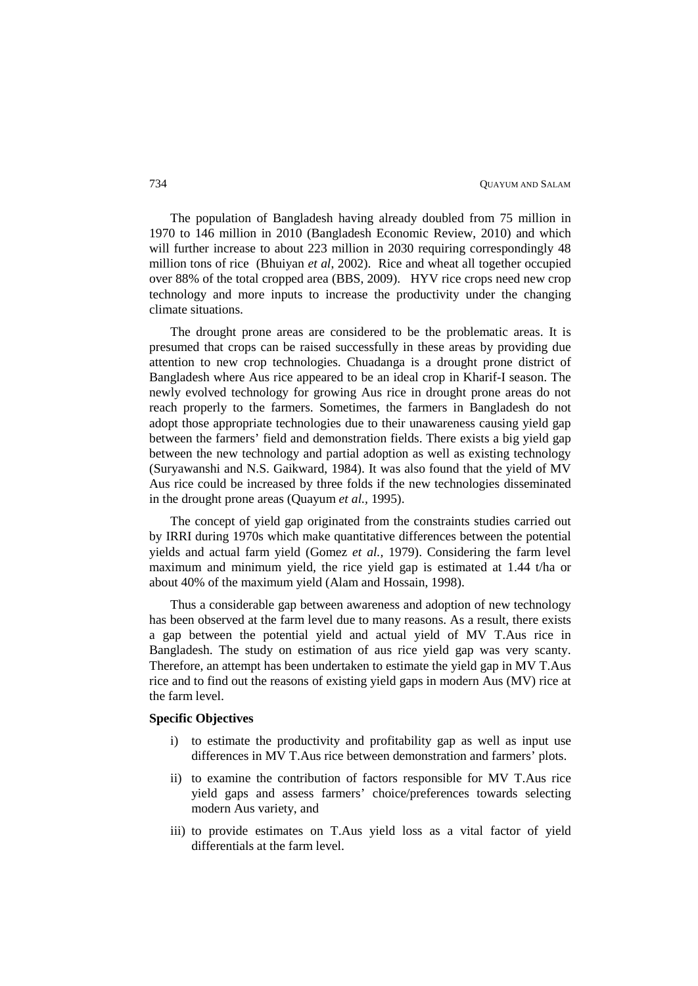The population of Bangladesh having already doubled from 75 million in 1970 to 146 million in 2010 (Bangladesh Economic Review, 2010) and which will further increase to about 223 million in 2030 requiring correspondingly 48 million tons of rice (Bhuiyan *et al*, 2002). Rice and wheat all together occupied over 88% of the total cropped area (BBS, 2009). HYV rice crops need new crop technology and more inputs to increase the productivity under the changing climate situations.

The drought prone areas are considered to be the problematic areas. It is presumed that crops can be raised successfully in these areas by providing due attention to new crop technologies. Chuadanga is a drought prone district of Bangladesh where Aus rice appeared to be an ideal crop in Kharif-I season. The newly evolved technology for growing Aus rice in drought prone areas do not reach properly to the farmers. Sometimes, the farmers in Bangladesh do not adopt those appropriate technologies due to their unawareness causing yield gap between the farmers' field and demonstration fields. There exists a big yield gap between the new technology and partial adoption as well as existing technology (Suryawanshi and N.S. Gaikward, 1984). It was also found that the yield of MV Aus rice could be increased by three folds if the new technologies disseminated in the drought prone areas (Quayum *et al.,* 1995).

The concept of yield gap originated from the constraints studies carried out by IRRI during 1970s which make quantitative differences between the potential yields and actual farm yield (Gomez *et al.,* 1979). Considering the farm level maximum and minimum yield, the rice yield gap is estimated at 1.44 t/ha or about 40% of the maximum yield (Alam and Hossain, 1998).

Thus a considerable gap between awareness and adoption of new technology has been observed at the farm level due to many reasons. As a result, there exists a gap between the potential yield and actual yield of MV T.Aus rice in Bangladesh. The study on estimation of aus rice yield gap was very scanty. Therefore, an attempt has been undertaken to estimate the yield gap in MV T.Aus rice and to find out the reasons of existing yield gaps in modern Aus (MV) rice at the farm level.

# **Specific Objectives**

- i) to estimate the productivity and profitability gap as well as input use differences in MV T.Aus rice between demonstration and farmers' plots.
- ii) to examine the contribution of factors responsible for MV T.Aus rice yield gaps and assess farmers' choice/preferences towards selecting modern Aus variety, and
- iii) to provide estimates on T.Aus yield loss as a vital factor of yield differentials at the farm level.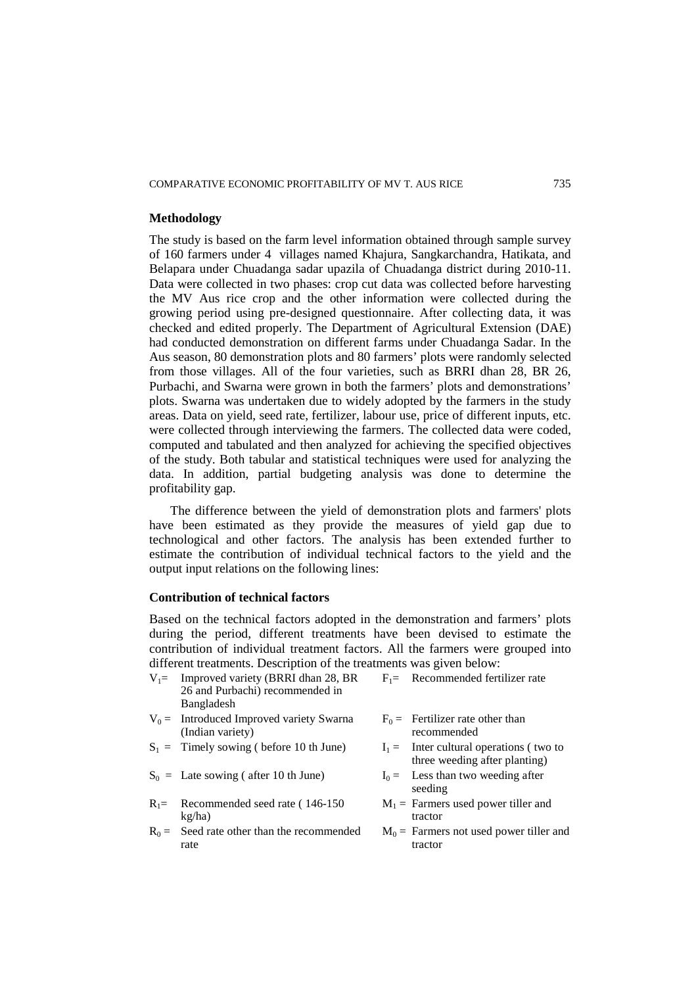# **Methodology**

The study is based on the farm level information obtained through sample survey of 160 farmers under 4 villages named Khajura, Sangkarchandra, Hatikata, and Belapara under Chuadanga sadar upazila of Chuadanga district during 2010-11. Data were collected in two phases: crop cut data was collected before harvesting the MV Aus rice crop and the other information were collected during the growing period using pre-designed questionnaire. After collecting data, it was checked and edited properly. The Department of Agricultural Extension (DAE) had conducted demonstration on different farms under Chuadanga Sadar. In the Aus season, 80 demonstration plots and 80 farmers' plots were randomly selected from those villages. All of the four varieties, such as BRRI dhan 28, BR 26, Purbachi, and Swarna were grown in both the farmers' plots and demonstrations' plots. Swarna was undertaken due to widely adopted by the farmers in the study areas. Data on yield, seed rate, fertilizer, labour use, price of different inputs, etc. were collected through interviewing the farmers. The collected data were coded, computed and tabulated and then analyzed for achieving the specified objectives of the study. Both tabular and statistical techniques were used for analyzing the data. In addition, partial budgeting analysis was done to determine the profitability gap.

The difference between the yield of demonstration plots and farmers' plots have been estimated as they provide the measures of yield gap due to technological and other factors. The analysis has been extended further to estimate the contribution of individual technical factors to the yield and the output input relations on the following lines:

# **Contribution of technical factors**

Based on the technical factors adopted in the demonstration and farmers' plots during the period, different treatments have been devised to estimate the contribution of individual treatment factors. All the farmers were grouped into different treatments. Description of the treatments was given below:

| $V_1$ = Improved variety (BRRI dhan 28, BR | $F_1$ Recommended fertilizer rate  |
|--------------------------------------------|------------------------------------|
| 26 and Purbachi) recommended in            |                                    |
| Bangladesh                                 |                                    |
| $V_0$ = Introduced Improved variety Swarna | $F_0$ = Fertilizer rate other than |

- $V_0$  = Introduced Improved variety Swarna (Indian variety)
- $S_1$  = Timely sowing ( before 10 th June)  $I_1$  = Inter cultural operations ( two to
- $S_0$  = Late sowing ( after 10 th June)  $I_0$  = Less than two weeding after
- $R_1$ = Recommended seed rate (146-150 kg/ha)
- $R_0$  = Seed rate other than the recommended rate
- recommended
- three weeding after planting)
- seeding
- $M_1$  = Farmers used power tiller and tractor
- $M_0$  = Farmers not used power tiller and tractor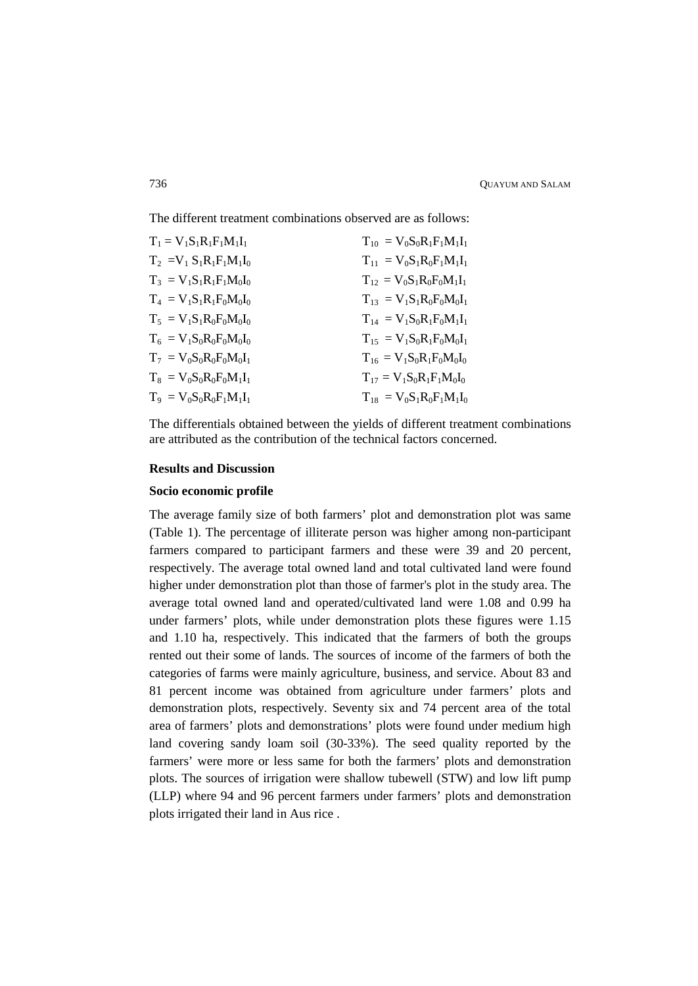The different treatment combinations observed are as follows:

| $T_1 = V_1 S_1 R_1 F_1 M_1 I_1$ | $T_{10} = V_0 S_0 R_1 F_1 M_1 I_1$ |
|---------------------------------|------------------------------------|
| $T_2 = V_1 S_1 R_1 F_1 M_1 I_0$ | $T_{11} = V_0 S_1 R_0 F_1 M_1 I_1$ |
| $T_3 = V_1 S_1 R_1 F_1 M_0 I_0$ | $T_{12} = V_0 S_1 R_0 F_0 M_1 I_1$ |
| $T_4 = V_1 S_1 R_1 F_0 M_0 I_0$ | $T_{13} = V_1 S_1 R_0 F_0 M_0 I_1$ |
| $T_5 = V_1 S_1 R_0 F_0 M_0 I_0$ | $T_{14} = V_1 S_0 R_1 F_0 M_1 I_1$ |
| $T_6 = V_1 S_0 R_0 F_0 M_0 I_0$ | $T_{15} = V_1 S_0 R_1 F_0 M_0 I_1$ |
| $T_7 = V_0 S_0 R_0 F_0 M_0 I_1$ | $T_{16} = V_1 S_0 R_1 F_0 M_0 I_0$ |
| $T_8 = V_0 S_0 R_0 F_0 M_1 I_1$ | $T_{17} = V_1 S_0 R_1 F_1 M_0 I_0$ |
| $T_9 = V_0 S_0 R_0 F_1 M_1 I_1$ | $T_{18} = V_0 S_1 R_0 F_1 M_1 I_0$ |

The differentials obtained between the yields of different treatment combinations are attributed as the contribution of the technical factors concerned.

# **Results and Discussion**

# **Socio economic profile**

The average family size of both farmers' plot and demonstration plot was same (Table 1). The percentage of illiterate person was higher among non-participant farmers compared to participant farmers and these were 39 and 20 percent, respectively. The average total owned land and total cultivated land were found higher under demonstration plot than those of farmer's plot in the study area. The average total owned land and operated/cultivated land were 1.08 and 0.99 ha under farmers' plots, while under demonstration plots these figures were 1.15 and 1.10 ha, respectively. This indicated that the farmers of both the groups rented out their some of lands. The sources of income of the farmers of both the categories of farms were mainly agriculture, business, and service. About 83 and 81 percent income was obtained from agriculture under farmers' plots and demonstration plots, respectively. Seventy six and 74 percent area of the total area of farmers' plots and demonstrations' plots were found under medium high land covering sandy loam soil (30-33%). The seed quality reported by the farmers' were more or less same for both the farmers' plots and demonstration plots. The sources of irrigation were shallow tubewell (STW) and low lift pump (LLP) where 94 and 96 percent farmers under farmers' plots and demonstration plots irrigated their land in Aus rice .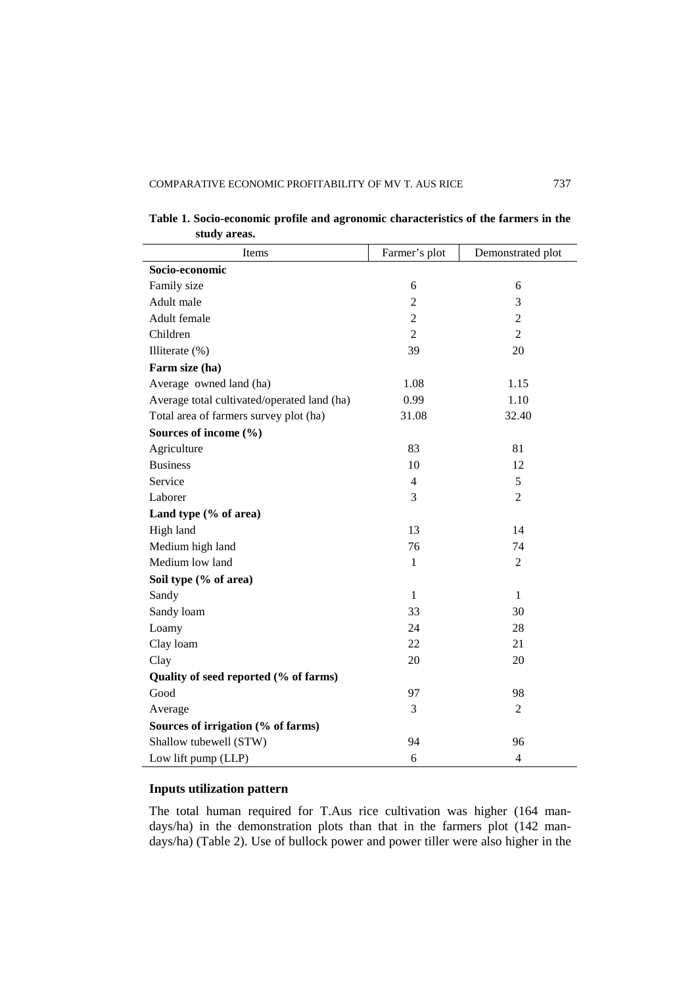| Items                                       | Farmer's plot  | Demonstrated plot |
|---------------------------------------------|----------------|-------------------|
| Socio-economic                              |                |                   |
| Family size                                 | 6              | 6                 |
| Adult male                                  | $\overline{2}$ | 3                 |
| Adult female                                | $\overline{2}$ | $\overline{2}$    |
| Children                                    | $\overline{2}$ | $\overline{2}$    |
| Illiterate (%)                              | 39             | 20                |
| Farm size (ha)                              |                |                   |
| Average owned land (ha)                     | 1.08           | 1.15              |
| Average total cultivated/operated land (ha) | 0.99           | 1.10              |
| Total area of farmers survey plot (ha)      | 31.08          | 32.40             |
| Sources of income (%)                       |                |                   |
| Agriculture                                 | 83             | 81                |
| <b>Business</b>                             | 10             | 12                |
| Service                                     | $\overline{4}$ | 5                 |
| Laborer                                     | 3              | $\overline{2}$    |
| Land type (% of area)                       |                |                   |
| High land                                   | 13             | 14                |
| Medium high land                            | 76             | 74                |
| Medium low land                             | $\,1$          | $\overline{2}$    |
| Soil type (% of area)                       |                |                   |
| Sandy                                       | $\mathbf{1}$   | $\mathbf{1}$      |
| Sandy loam                                  | 33             | 30                |
| Loamy                                       | 24             | 28                |
| Clay loam                                   | 22             | 21                |
| Clay                                        | 20             | 20                |
| Quality of seed reported (% of farms)       |                |                   |
| Good                                        | 97             | 98                |
| Average                                     | 3              | $\overline{2}$    |
| Sources of irrigation (% of farms)          |                |                   |
| Shallow tubewell (STW)                      | 94             | 96                |
| Low lift pump (LLP)                         | 6              | $\overline{4}$    |

**Table 1. Socio-economic profile and agronomic characteristics of the farmers in the study areas.**

# **Inputs utilization pattern**

The total human required for T.Aus rice cultivation was higher (164 mandays/ha) in the demonstration plots than that in the farmers plot (142 mandays/ha) (Table 2). Use of bullock power and power tiller were also higher in the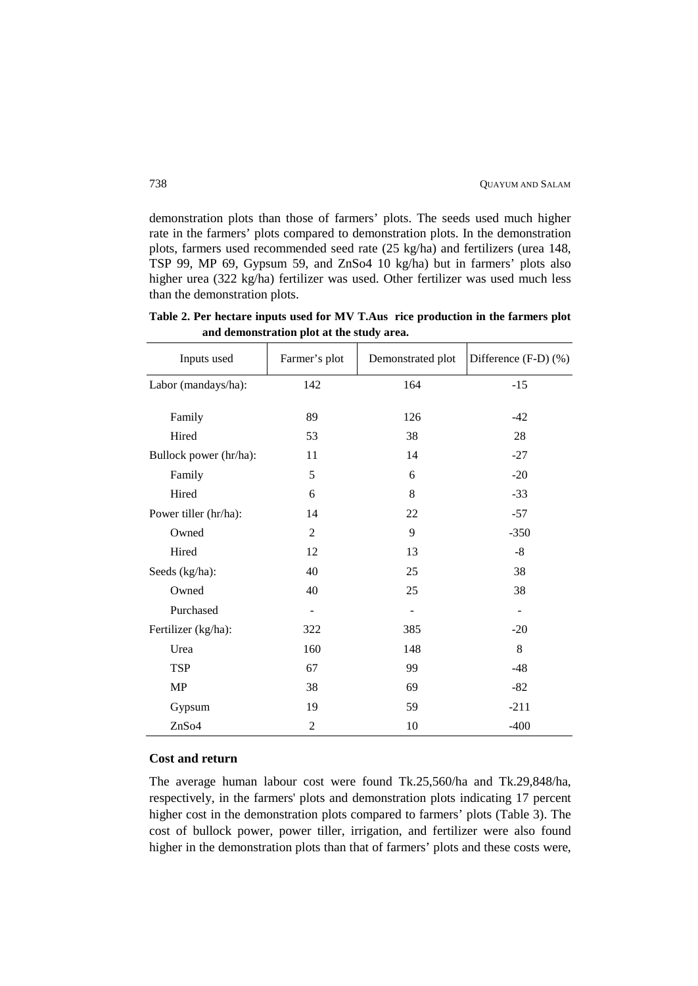demonstration plots than those of farmers' plots. The seeds used much higher rate in the farmers' plots compared to demonstration plots. In the demonstration plots, farmers used recommended seed rate (25 kg/ha) and fertilizers (urea 148, TSP 99, MP 69, Gypsum 59, and ZnSo4 10 kg/ha) but in farmers' plots also higher urea (322 kg/ha) fertilizer was used. Other fertilizer was used much less than the demonstration plots.

**Table 2. Per hectare inputs used for MV T.Aus rice production in the farmers plot and demonstration plot at the study area.**

| Inputs used            | Farmer's plot  | Demonstrated plot | Difference (F-D) (%) |
|------------------------|----------------|-------------------|----------------------|
| Labor (mandays/ha):    | 142            | 164               | $-15$                |
| Family                 | 89             | 126               | $-42$                |
| Hired                  | 53             | 38                | 28                   |
| Bullock power (hr/ha): | 11             | 14                | $-27$                |
| Family                 | 5              | 6                 | $-20$                |
| Hired                  | 6              | 8                 | $-33$                |
| Power tiller (hr/ha):  | 14             | 22                | $-57$                |
| Owned                  | $\overline{2}$ | 9                 | $-350$               |
| Hired                  | 12             | 13                | $-8$                 |
| Seeds (kg/ha):         | 40             | 25                | 38                   |
| Owned                  | 40             | 25                | 38                   |
| Purchased              |                |                   |                      |
| Fertilizer (kg/ha):    | 322            | 385               | $-20$                |
| Urea                   | 160            | 148               | 8                    |
| <b>TSP</b>             | 67             | 99                | $-48$                |
| MP                     | 38             | 69                | $-82$                |
| Gypsum                 | 19             | 59                | $-211$               |
| ZnSo4                  | $\overline{2}$ | 10                | $-400$               |

#### **Cost and return**

The average human labour cost were found Tk.25,560/ha and Tk.29,848/ha, respectively, in the farmers' plots and demonstration plots indicating 17 percent higher cost in the demonstration plots compared to farmers' plots (Table 3). The cost of bullock power, power tiller, irrigation, and fertilizer were also found higher in the demonstration plots than that of farmers' plots and these costs were,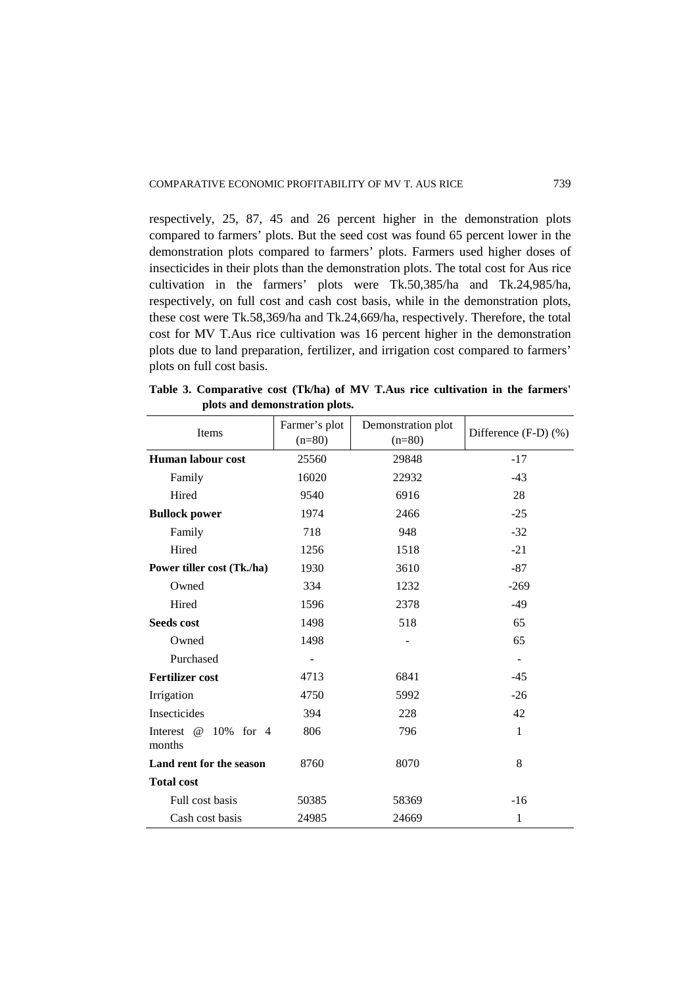respectively, 25, 87, 45 and 26 percent higher in the demonstration plots compared to farmers' plots. But the seed cost was found 65 percent lower in the demonstration plots compared to farmers' plots. Farmers used higher doses of insecticides in their plots than the demonstration plots. The total cost for Aus rice cultivation in the farmers' plots were Tk.50,385/ha and Tk.24,985/ha, respectively, on full cost and cash cost basis, while in the demonstration plots, these cost were Tk.58,369/ha and Tk.24,669/ha, respectively. Therefore, the total cost for MV T.Aus rice cultivation was 16 percent higher in the demonstration plots due to land preparation, fertilizer, and irrigation cost compared to farmers' plots on full cost basis.

**Table 3. Comparative cost (Tk/ha) of MV T.Aus rice cultivation in the farmers' plots and demonstration plots.**

| Items                                            | Farmer's plot<br>$(n=80)$ | Demonstration plot<br>$(n=80)$ | Difference $(F-D)$ $(\%)$ |  |
|--------------------------------------------------|---------------------------|--------------------------------|---------------------------|--|
| <b>Human labour cost</b>                         | 25560                     | 29848                          | $-17$                     |  |
| Family                                           | 16020                     | 22932                          | $-43$                     |  |
| Hired                                            | 9540                      | 6916                           | 28                        |  |
| <b>Bullock power</b>                             | 1974                      | 2466                           | $-25$                     |  |
| Family                                           | 718                       | 948                            | $-32$                     |  |
| Hired                                            | 1256                      | 1518                           | $-21$                     |  |
| Power tiller cost (Tk./ha)                       | 1930                      | 3610                           | $-87$                     |  |
| Owned                                            | 334                       | 1232                           | $-269$                    |  |
| Hired                                            | 1596                      | 2378                           | $-49$                     |  |
| <b>Seeds cost</b>                                | 1498                      | 518                            | 65                        |  |
| Owned                                            | 1498                      |                                | 65                        |  |
| Purchased                                        |                           |                                |                           |  |
| <b>Fertilizer cost</b>                           | 4713                      | 6841                           | $-45$                     |  |
| Irrigation                                       | 4750                      | 5992                           | $-26$                     |  |
| Insecticides                                     | 394                       | 228                            | 42                        |  |
| $\omega$<br>Interest<br>10%<br>for $4$<br>months | 806                       | 796                            | $\mathbf{1}$              |  |
| Land rent for the season                         | 8760                      | 8070                           | 8                         |  |
| <b>Total cost</b>                                |                           |                                |                           |  |
| Full cost basis                                  | 50385                     | 58369                          | $-16$                     |  |
| Cash cost basis                                  | 24985                     | 24669                          | $\mathbf{1}$              |  |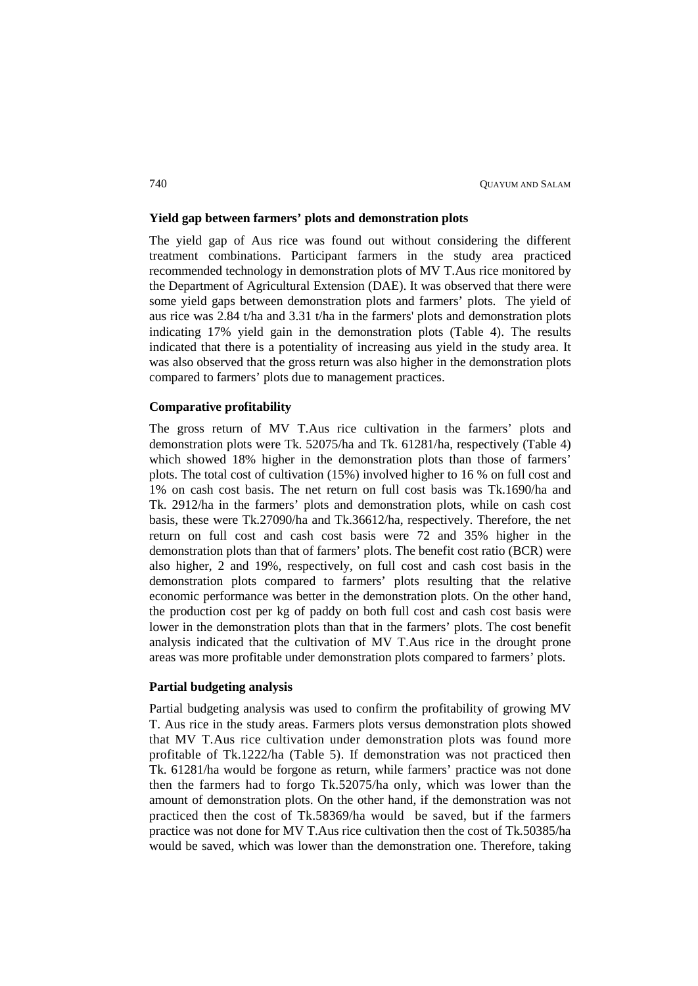### **Yield gap between farmers' plots and demonstration plots**

The yield gap of Aus rice was found out without considering the different treatment combinations. Participant farmers in the study area practiced recommended technology in demonstration plots of MV T.Aus rice monitored by the Department of Agricultural Extension (DAE). It was observed that there were some yield gaps between demonstration plots and farmers' plots. The yield of aus rice was 2.84 t/ha and 3.31 t/ha in the farmers' plots and demonstration plots indicating 17% yield gain in the demonstration plots (Table 4). The results indicated that there is a potentiality of increasing aus yield in the study area. It was also observed that the gross return was also higher in the demonstration plots compared to farmers' plots due to management practices.

# **Comparative profitability**

The gross return of MV T.Aus rice cultivation in the farmers' plots and demonstration plots were Tk. 52075/ha and Tk. 61281/ha, respectively (Table 4) which showed 18% higher in the demonstration plots than those of farmers' plots. The total cost of cultivation (15%) involved higher to 16 % on full cost and 1% on cash cost basis. The net return on full cost basis was Tk.1690/ha and Tk. 2912/ha in the farmers' plots and demonstration plots, while on cash cost basis, these were Tk.27090/ha and Tk.36612/ha, respectively. Therefore, the net return on full cost and cash cost basis were 72 and 35% higher in the demonstration plots than that of farmers' plots. The benefit cost ratio (BCR) were also higher, 2 and 19%, respectively, on full cost and cash cost basis in the demonstration plots compared to farmers' plots resulting that the relative economic performance was better in the demonstration plots. On the other hand, the production cost per kg of paddy on both full cost and cash cost basis were lower in the demonstration plots than that in the farmers' plots. The cost benefit analysis indicated that the cultivation of MV T.Aus rice in the drought prone areas was more profitable under demonstration plots compared to farmers' plots.

## **Partial budgeting analysis**

Partial budgeting analysis was used to confirm the profitability of growing MV T. Aus rice in the study areas. Farmers plots versus demonstration plots showed that MV T.Aus rice cultivation under demonstration plots was found more profitable of Tk.1222/ha (Table 5). If demonstration was not practiced then Tk. 61281/ha would be forgone as return, while farmers' practice was not done then the farmers had to forgo Tk.52075/ha only, which was lower than the amount of demonstration plots. On the other hand, if the demonstration was not practiced then the cost of Tk.58369/ha would be saved, but if the farmers practice was not done for MV T.Aus rice cultivation then the cost of Tk.50385/ha would be saved, which was lower than the demonstration one. Therefore, taking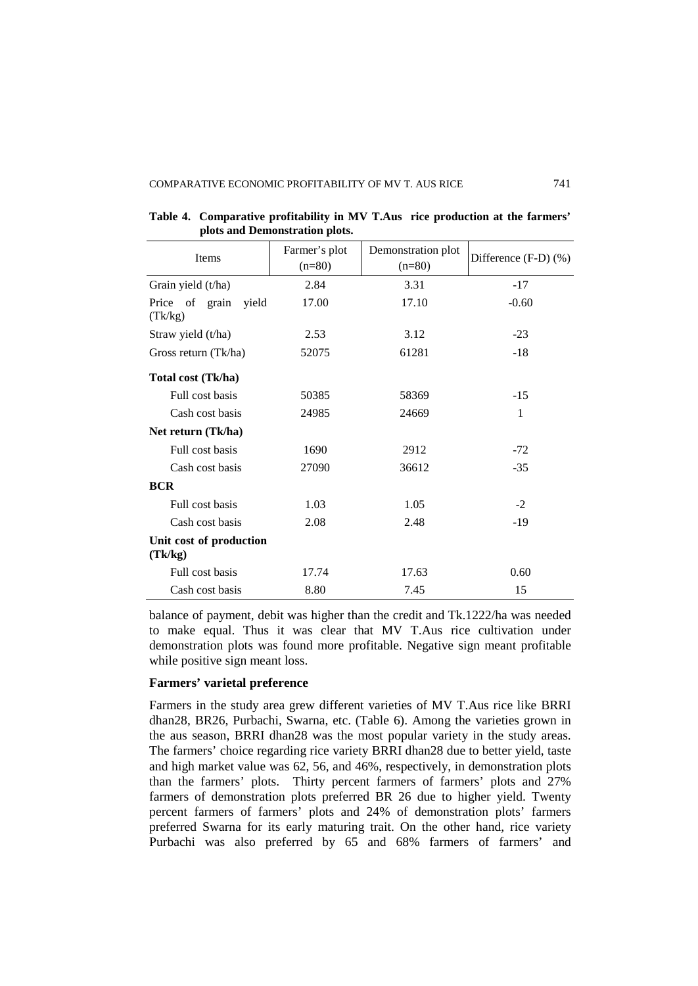| Items                              | Farmer's plot | Demonstration plot | Difference $(F-D)$ $%$ ) |
|------------------------------------|---------------|--------------------|--------------------------|
|                                    | $(n=80)$      | $(n=80)$           |                          |
| Grain yield (t/ha)                 | 2.84          | 3.31               | $-17$                    |
| Price of grain<br>yield<br>(Tk/kg) | 17.00         | 17.10              | $-0.60$                  |
| Straw yield (t/ha)                 | 2.53          | 3.12               | $-23$                    |
| Gross return (Tk/ha)               | 52075         | 61281              | $-18$                    |
| Total cost (Tk/ha)                 |               |                    |                          |
| Full cost basis                    | 50385         | 58369              | $-15$                    |
| Cash cost basis                    | 24985         | 24669              | 1                        |
| Net return (Tk/ha)                 |               |                    |                          |
| Full cost basis                    | 1690          | 2912               | $-72$                    |
| Cash cost basis                    | 27090         | 36612              | $-35$                    |
| <b>BCR</b>                         |               |                    |                          |
| Full cost basis                    | 1.03          | 1.05               | $-2$                     |
| Cash cost basis                    | 2.08          | 2.48               | $-19$                    |
| Unit cost of production<br>(Tk/kg) |               |                    |                          |
| Full cost basis                    | 17.74         | 17.63              | 0.60                     |
| Cash cost basis                    | 8.80          | 7.45               | 15                       |

**Table 4. Comparative profitability in MV T.Aus rice production at the farmers' plots and Demonstration plots.**

balance of payment, debit was higher than the credit and Tk.1222/ha was needed to make equal. Thus it was clear that MV T.Aus rice cultivation under demonstration plots was found more profitable. Negative sign meant profitable while positive sign meant loss.

# **Farmers' varietal preference**

Farmers in the study area grew different varieties of MV T.Aus rice like BRRI dhan28, BR26, Purbachi, Swarna, etc. (Table 6). Among the varieties grown in the aus season, BRRI dhan28 was the most popular variety in the study areas. The farmers' choice regarding rice variety BRRI dhan28 due to better yield, taste and high market value was 62, 56, and 46%, respectively, in demonstration plots than the farmers' plots. Thirty percent farmers of farmers' plots and 27% farmers of demonstration plots preferred BR 26 due to higher yield. Twenty percent farmers of farmers' plots and 24% of demonstration plots' farmers preferred Swarna for its early maturing trait. On the other hand, rice variety Purbachi was also preferred by 65 and 68% farmers of farmers' and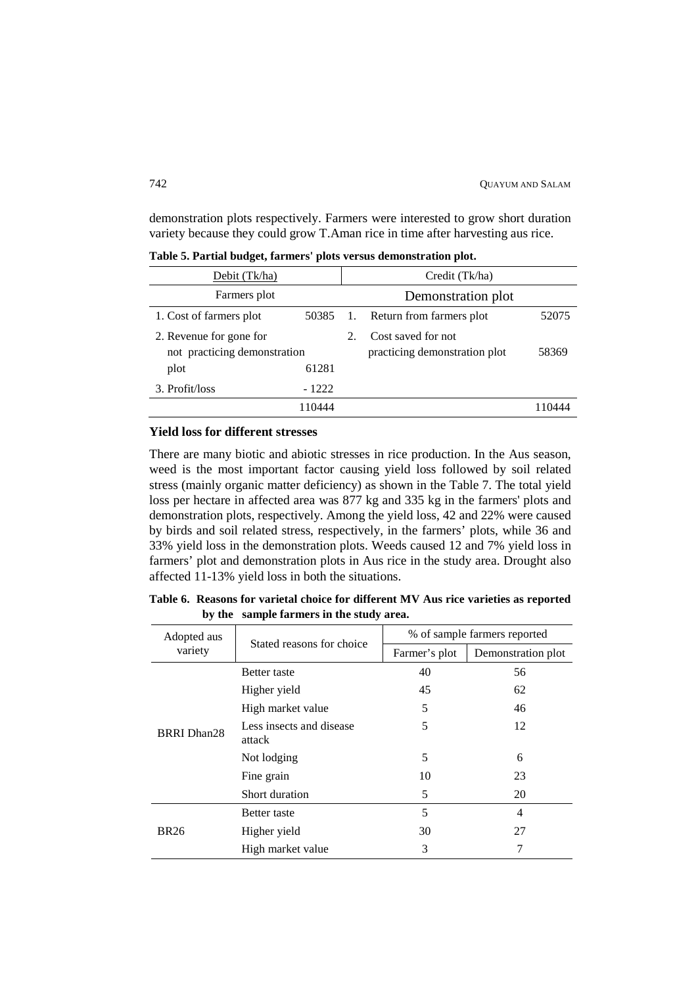demonstration plots respectively. Farmers were interested to grow short duration variety because they could grow T.Aman rice in time after harvesting aus rice.

| Debit (Tk/ha)                                           |         | Credit (Tk/ha) |                                                     |       |  |  |  |
|---------------------------------------------------------|---------|----------------|-----------------------------------------------------|-------|--|--|--|
| Farmers plot                                            |         |                | Demonstration plot                                  |       |  |  |  |
| 1. Cost of farmers plot                                 | 50385   | 1.             | Return from farmers plot                            | 52075 |  |  |  |
| 2. Revenue for gone for<br>not practicing demonstration |         | 2.             | Cost saved for not<br>practicing demonstration plot | 58369 |  |  |  |
| plot                                                    | 61281   |                |                                                     |       |  |  |  |
| 3. Profit/loss                                          | $-1222$ |                |                                                     |       |  |  |  |
|                                                         | 110444  |                |                                                     |       |  |  |  |

**Table 5. Partial budget, farmers' plots versus demonstration plot.**

# **Yield loss for different stresses**

There are many biotic and abiotic stresses in rice production. In the Aus season, weed is the most important factor causing yield loss followed by soil related stress (mainly organic matter deficiency) as shown in the Table 7. The total yield loss per hectare in affected area was 877 kg and 335 kg in the farmers' plots and demonstration plots, respectively. Among the yield loss, 42 and 22% were caused by birds and soil related stress, respectively, in the farmers' plots, while 36 and 33% yield loss in the demonstration plots. Weeds caused 12 and 7% yield loss in farmers' plot and demonstration plots in Aus rice in the study area. Drought also affected 11-13% yield loss in both the situations.

**Table 6. Reasons for varietal choice for different MV Aus rice varieties as reported by the sample farmers in the study area.**

| Adopted aus        |                                                                                                                                                                                                                                       |               | % of sample farmers reported |  |  |
|--------------------|---------------------------------------------------------------------------------------------------------------------------------------------------------------------------------------------------------------------------------------|---------------|------------------------------|--|--|
| variety            |                                                                                                                                                                                                                                       | Farmer's plot | Demonstration plot           |  |  |
|                    | <b>Better</b> taste                                                                                                                                                                                                                   | 40            | 56                           |  |  |
|                    | Stated reasons for choice<br>Higher yield<br>45<br>5<br>High market value<br>5<br>Less insects and disease<br>attack<br>5<br>Not lodging<br>10<br>Fine grain<br>Short duration<br>5<br>5<br><b>Better</b> taste<br>30<br>Higher yield |               | 62                           |  |  |
|                    |                                                                                                                                                                                                                                       |               | 46                           |  |  |
| <b>BRRI</b> Dhan28 |                                                                                                                                                                                                                                       |               | 12                           |  |  |
|                    |                                                                                                                                                                                                                                       |               | 6                            |  |  |
|                    |                                                                                                                                                                                                                                       |               | 23                           |  |  |
|                    |                                                                                                                                                                                                                                       |               | 20                           |  |  |
|                    |                                                                                                                                                                                                                                       |               | 4                            |  |  |
| <b>BR26</b>        |                                                                                                                                                                                                                                       |               | 27                           |  |  |
|                    | High market value                                                                                                                                                                                                                     | 3             |                              |  |  |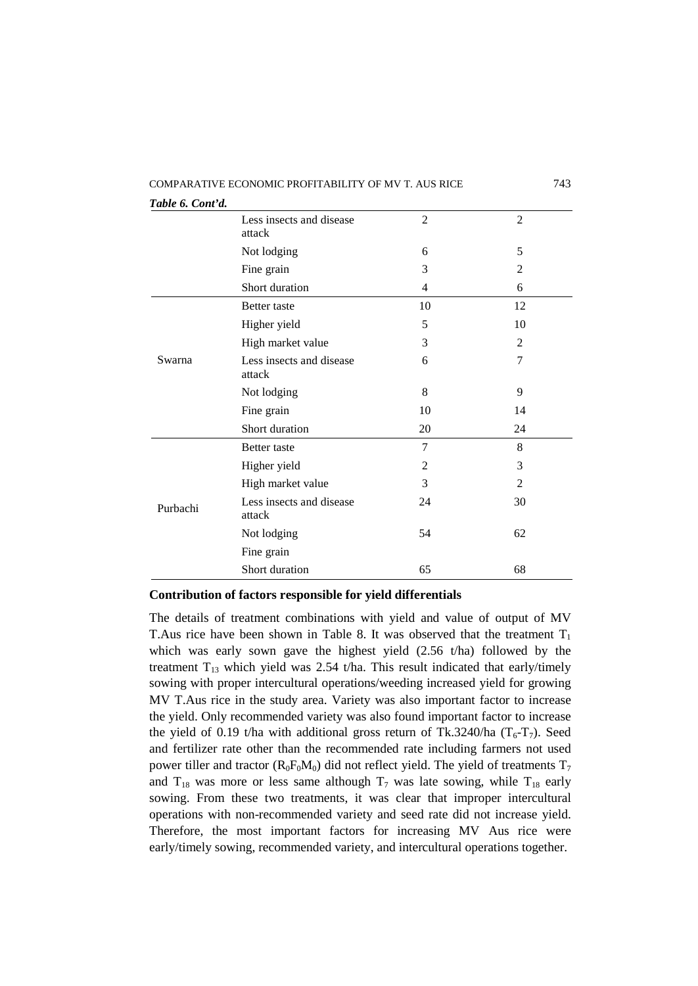| Table 6. Cont'd. |                                                                                                                                                                                   |                |                |
|------------------|-----------------------------------------------------------------------------------------------------------------------------------------------------------------------------------|----------------|----------------|
|                  | Less insects and disease<br>attack                                                                                                                                                | $\overline{2}$ | $\overline{2}$ |
|                  | Not lodging                                                                                                                                                                       | 6              | 5              |
|                  | Fine grain                                                                                                                                                                        | 3              | 2              |
|                  | Short duration                                                                                                                                                                    | 4              | 6              |
|                  | <b>Better</b> taste                                                                                                                                                               | 10             | 12             |
|                  | Higher yield                                                                                                                                                                      | 5              | 10             |
|                  | High market value                                                                                                                                                                 | 3              | 2              |
| Swarna           | Less insects and disease<br>attack                                                                                                                                                | 6              | 7              |
|                  | Not lodging                                                                                                                                                                       | 8              | 9              |
|                  | Fine grain                                                                                                                                                                        | 10             | 14             |
|                  | Short duration<br>$\overline{7}$<br><b>Better</b> taste<br>Higher yield<br>High market value<br>Less insects and disease<br>attack<br>Not lodging<br>Fine grain<br>Short duration | 20             | 24             |
|                  |                                                                                                                                                                                   |                | 8              |
|                  |                                                                                                                                                                                   | $\overline{2}$ | 3              |
|                  |                                                                                                                                                                                   | 3              | 2              |
| Purbachi         |                                                                                                                                                                                   | 24             | 30             |
|                  |                                                                                                                                                                                   | 54             | 62             |
|                  |                                                                                                                                                                                   |                |                |
|                  |                                                                                                                                                                                   | 65             | 68             |

**Contribution of factors responsible for yield differentials**

The details of treatment combinations with yield and value of output of MV T. Aus rice have been shown in Table 8. It was observed that the treatment  $T_1$ which was early sown gave the highest yield (2.56 t/ha) followed by the treatment  $T_{13}$  which yield was 2.54 t/ha. This result indicated that early/timely sowing with proper intercultural operations/weeding increased yield for growing MV T.Aus rice in the study area. Variety was also important factor to increase the yield. Only recommended variety was also found important factor to increase the yield of 0.19 t/ha with additional gross return of Tk.3240/ha ( $T_6$ -T<sub>7</sub>). Seed and fertilizer rate other than the recommended rate including farmers not used power tiller and tractor ( $R_0F_0M_0$ ) did not reflect yield. The yield of treatments  $T_7$ and  $T_{18}$  was more or less same although  $T_7$  was late sowing, while  $T_{18}$  early sowing. From these two treatments, it was clear that improper intercultural operations with non-recommended variety and seed rate did not increase yield. Therefore, the most important factors for increasing MV Aus rice were early/timely sowing, recommended variety, and intercultural operations together.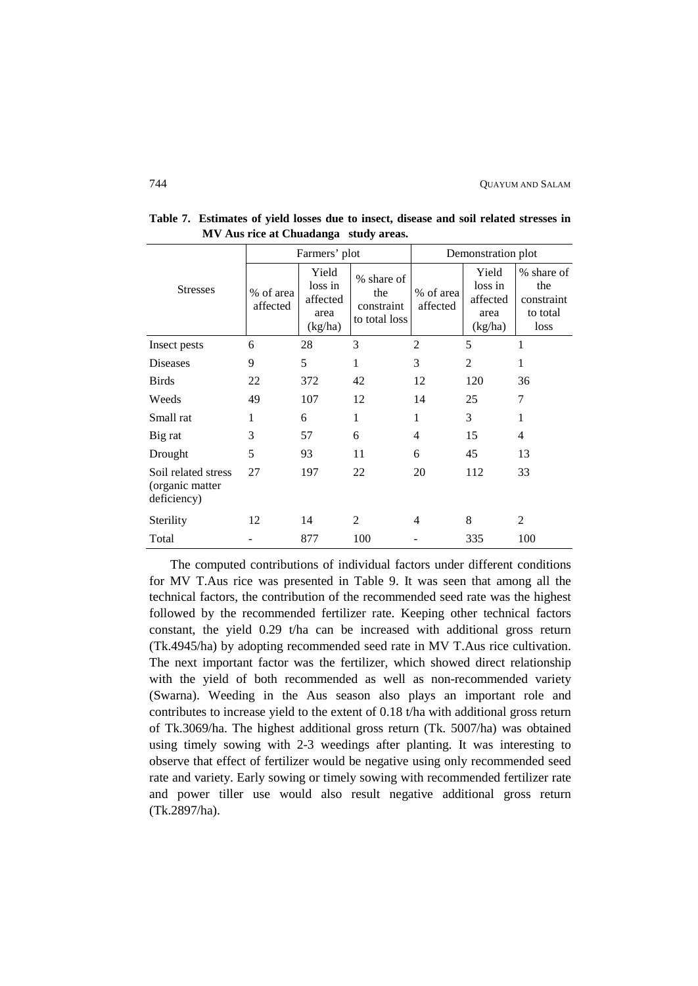|                                                       |                       | Farmers' plot                                   |                                                  |                       | Demonstration plot                              |                                                     |
|-------------------------------------------------------|-----------------------|-------------------------------------------------|--------------------------------------------------|-----------------------|-------------------------------------------------|-----------------------------------------------------|
| <b>Stresses</b>                                       | % of area<br>affected | Yield<br>loss in<br>affected<br>area<br>(kg/ha) | % share of<br>the<br>constraint<br>to total loss | % of area<br>affected | Yield<br>loss in<br>affected<br>area<br>(kg/ha) | % share of<br>the<br>constraint<br>to total<br>loss |
| Insect pests                                          | 6                     | 28                                              | 3                                                | $\overline{c}$        | 5                                               | 1                                                   |
| <b>Diseases</b>                                       | 9                     | 5                                               | 1                                                | 3                     | 2                                               | 1                                                   |
| <b>Birds</b>                                          | 22                    | 372                                             | 42                                               | 12                    | 120                                             | 36                                                  |
| Weeds                                                 | 49                    | 107                                             | 12                                               | 14                    | 25                                              | 7                                                   |
| Small rat                                             | 1                     | 6                                               | 1                                                | 1                     | 3                                               | 1                                                   |
| Big rat                                               | 3                     | 57                                              | 6                                                | 4                     | 15                                              | 4                                                   |
| Drought                                               | 5                     | 93                                              | 11                                               | 6                     | 45                                              | 13                                                  |
| Soil related stress<br>(organic matter<br>deficiency) | 27                    | 197                                             | 22                                               | 20                    | 112                                             | 33                                                  |
| Sterility                                             | 12                    | 14                                              | 2                                                | 4                     | 8                                               | $\overline{2}$                                      |
| Total                                                 |                       | 877                                             | 100                                              |                       | 335                                             | 100                                                 |

**Table 7. Estimates of yield losses due to insect, disease and soil related stresses in MV Aus rice at Chuadanga study areas.**

The computed contributions of individual factors under different conditions for MV T.Aus rice was presented in Table 9. It was seen that among all the technical factors, the contribution of the recommended seed rate was the highest followed by the recommended fertilizer rate. Keeping other technical factors constant, the yield 0.29 t/ha can be increased with additional gross return (Tk.4945/ha) by adopting recommended seed rate in MV T.Aus rice cultivation. The next important factor was the fertilizer, which showed direct relationship with the yield of both recommended as well as non-recommended variety (Swarna). Weeding in the Aus season also plays an important role and contributes to increase yield to the extent of 0.18 t/ha with additional gross return of Tk.3069/ha. The highest additional gross return (Tk. 5007/ha) was obtained using timely sowing with 2-3 weedings after planting. It was interesting to observe that effect of fertilizer would be negative using only recommended seed rate and variety. Early sowing or timely sowing with recommended fertilizer rate and power tiller use would also result negative additional gross return (Tk.2897/ha).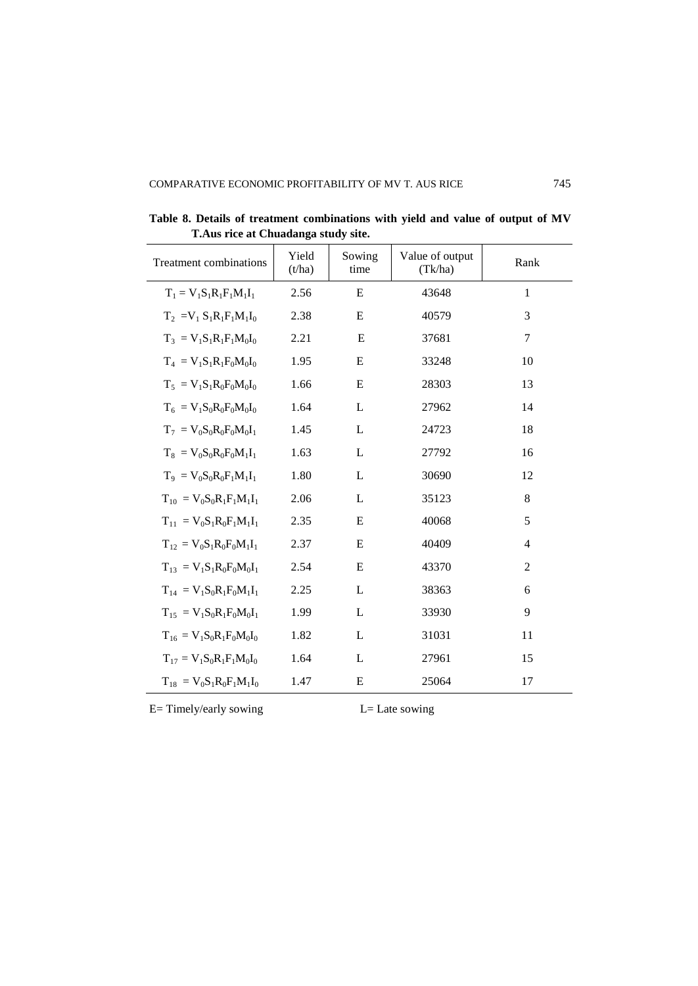| Treatment combinations             | Yield<br>(t/ha) | Sowing<br>time | Value of output<br>(Tk/ha) | Rank           |
|------------------------------------|-----------------|----------------|----------------------------|----------------|
| $T_1 = V_1 S_1 R_1 F_1 M_1 I_1$    | 2.56            | E              | 43648                      | $\mathbf{1}$   |
| $T_2 = V_1 S_1 R_1 F_1 M_1 I_0$    | 2.38            | E              | 40579                      | 3              |
| $T_3 = V_1 S_1 R_1 F_1 M_0 I_0$    | 2.21            | E              | 37681                      | 7              |
| $T_4 = V_1 S_1 R_1 F_0 M_0 I_0$    | 1.95            | E              | 33248                      | 10             |
| $T_5 = V_1 S_1 R_0 F_0 M_0 I_0$    | 1.66            | E              | 28303                      | 13             |
| $T_6 = V_1 S_0 R_0 F_0 M_0 I_0$    | 1.64            | L              | 27962                      | 14             |
| $T_7 = V_0 S_0 R_0 F_0 M_0 I_1$    | 1.45            | L              | 24723                      | 18             |
| $T_8 = V_0 S_0 R_0 F_0 M_1 I_1$    | 1.63            | L              | 27792                      | 16             |
| $T_9 = V_0 S_0 R_0 F_1 M_1 I_1$    | 1.80            | L              | 30690                      | 12             |
| $T_{10} = V_0 S_0 R_1 F_1 M_1 I_1$ | 2.06            | L              | 35123                      | 8              |
| $T_{11} = V_0 S_1 R_0 F_1 M_1 I_1$ | 2.35            | E              | 40068                      | 5              |
| $T_{12} = V_0 S_1 R_0 F_0 M_1 I_1$ | 2.37            | E              | 40409                      | $\overline{4}$ |
| $T_{13} = V_1 S_1 R_0 F_0 M_0 I_1$ | 2.54            | E              | 43370                      | 2              |
| $T_{14} = V_1 S_0 R_1 F_0 M_1 I_1$ | 2.25            | L              | 38363                      | 6              |
| $T_{15} = V_1 S_0 R_1 F_0 M_0 I_1$ | 1.99            | L              | 33930                      | 9              |
| $T_{16} = V_1 S_0 R_1 F_0 M_0 I_0$ | 1.82            | L              | 31031                      | 11             |
| $T_{17} = V_1 S_0 R_1 F_1 M_0 I_0$ | 1.64            | L              | 27961                      | 15             |
| $T_{18} = V_0 S_1 R_0 F_1 M_1 I_0$ | 1.47            | E              | 25064                      | 17             |

**Table 8. Details of treatment combinations with yield and value of output of MV T.Aus rice at Chuadanga study site.**

E= Timely/early sowing L= Late sowing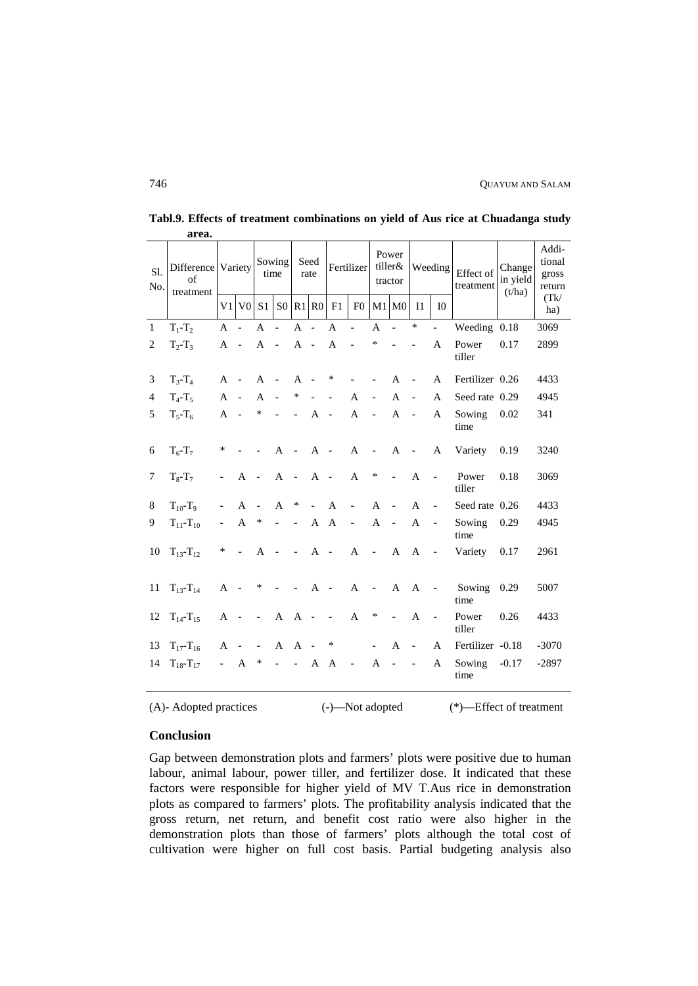| Sl.<br>No.     | of<br>treatment       |                          |                          | Sowing<br>Difference Variety<br>time |                          |                          | Seed<br>Fertilizer tiller&<br>rate |                |                          | Power<br>tractor         |                          | Weeding                  |                          | Effect of<br>treatment | Change<br>in yield<br>(t/ha) | Addi-<br>tional<br>gross<br>return |
|----------------|-----------------------|--------------------------|--------------------------|--------------------------------------|--------------------------|--------------------------|------------------------------------|----------------|--------------------------|--------------------------|--------------------------|--------------------------|--------------------------|------------------------|------------------------------|------------------------------------|
|                |                       |                          | $V1$ $V0$                | S <sub>1</sub>                       |                          |                          | S0 R1 R0                           | F1             | F <sub>0</sub>           |                          | $M1$ $M0$                | I <sub>1</sub>           | I <sub>0</sub>           |                        |                              | (Tk)<br>ha)                        |
| $\mathbf{1}$   | $T_1 - T_2$           | $\mathsf{A}$             |                          | $\mathsf{A}$                         | $\overline{a}$           | $\mathsf{A}$             | $\overline{\phantom{a}}$           | $\overline{A}$ | $\overline{a}$           | $\mathbf{A}$             | $\overline{a}$           | $\ast$                   | $\overline{a}$           | Weeding 0.18           |                              | 3069                               |
| 2              | $T_2 - T_3$           | A                        |                          | A                                    | $\sim$                   | $A -$                    |                                    | $\mathbf{A}$   | $\overline{a}$           | ∗                        |                          | $\overline{a}$           | A                        | Power<br>tiller        | 0.17                         | 2899                               |
| 3              | $T_{3} - T_{4}$       | $\mathsf{A}$             | $\overline{\phantom{a}}$ | $\mathsf{A}$                         | $\blacksquare$           | $\mathsf{A}$             | $\sim$                             | ∗              |                          |                          | A                        |                          | $\mathsf{A}$             | Fertilizer 0.26        |                              | 4433                               |
| $\overline{4}$ | $T_4$ -T <sub>5</sub> | $\mathsf{A}$             | $\sim$                   | $\mathsf{A}$                         | $\overline{a}$           | ∗                        |                                    | $\overline{a}$ | $\mathsf{A}$             | $\frac{1}{2}$            | $\overline{A}$           | $\overline{a}$           | $\mathsf{A}$             | Seed rate 0.29         |                              | 4945                               |
| 5              | $T_{5}$ - $T_{6}$     | $\mathsf{A}$             | $\overline{\phantom{a}}$ | ∗                                    |                          | $\overline{a}$           | $\mathsf{A}$                       | $\blacksquare$ | $\mathbf{A}$             | $\overline{\phantom{a}}$ | $\mathbf{A}$             | $\overline{a}$           | $\mathsf{A}$             | Sowing<br>time         | 0.02                         | 341                                |
| 6              | $T_6$ - $T_7$         | ∗                        |                          |                                      | A                        | $\sim$                   | $\mathbf{A}$                       | $\sim$         | $\mathbf{A}$             | $\overline{\phantom{a}}$ | A                        | $\overline{a}$           | A                        | Variety                | 0.19                         | 3240                               |
| 7              | $T_8 - T_7$           | $\overline{\phantom{0}}$ | $\mathbf{A}$             | $\sim$                               | A                        | $\sim$                   | $\mathbf{A}$                       | $\bar{a}$      | $\mathbf{A}$             | $\ast$                   | $\overline{\phantom{a}}$ | $\mathsf{A}$             | $\overline{a}$           | Power<br>tiller        | 0.18                         | 3069                               |
| 8              | $T_{10} - T_9$        |                          | $\mathsf{A}$             |                                      | A                        | $\ast$                   | $\overline{a}$                     | $\mathsf{A}$   |                          | $\overline{A}$           |                          | A                        | $\overline{\phantom{a}}$ | Seed rate 0.26         |                              | 4433                               |
| 9              | $T_{11} - T_{10}$     | $\overline{\phantom{a}}$ | $\mathbf{A}$             | ∗                                    | $\overline{a}$           | $\overline{a}$           | $\mathbf{A}$                       | $\mathbf{A}$   | $\overline{\phantom{a}}$ | $\mathsf{A}$             | $\overline{\phantom{a}}$ | $\mathsf{A}$             | $\blacksquare$           | Sowing<br>time         | 0.29                         | 4945                               |
| 10             | $T_{13} - T_{12}$     | $\ast$                   | $\overline{\phantom{a}}$ | A                                    | $\overline{\phantom{a}}$ | $\overline{\phantom{a}}$ | $A -$                              |                | $\mathbf{A}$             | $\blacksquare$           | A                        | A                        | $\overline{\phantom{a}}$ | Variety                | 0.17                         | 2961                               |
| 11             | $T_{13} - T_{14}$     | $A -$                    |                          | $\ast$                               |                          | $\sim$ $-$               | A -                                |                | $\mathbf{A}$             | $\overline{\phantom{a}}$ | $\mathbf{A}$             | A                        | $\blacksquare$           | Sowing<br>time         | 0.29                         | 5007                               |
| 12             | $T_{14} - T_{15}$     | A                        | $\overline{\phantom{a}}$ | $\blacksquare$                       | $\mathbf{A}$             | $\mathbf{A}$             | $\sim$ $-$                         | $\mathcal{L}$  | $\mathbf{A}$             | $\ast$                   | $\overline{\phantom{a}}$ | $\mathbf{A}$             | $\blacksquare$           | Power<br>tiller        | 0.26                         | 4433                               |
| 13             | $T_{17} - T_{16}$     | A                        |                          |                                      | A                        | $A -$                    |                                    | $\ast$         |                          | $\overline{\phantom{a}}$ | A                        | $\overline{\phantom{a}}$ | $\mathsf{A}$             | Fertilizer -0.18       |                              | $-3070$                            |
| 14             | $T_{18} - T_{17}$     | $\sim$                   | A                        | ∗                                    | $\overline{\phantom{0}}$ | $\blacksquare$           | A                                  | A              | $\sim 10^{-10}$          | A                        | $\overline{\phantom{a}}$ | $\blacksquare$           | A                        | Sowing<br>time         | $-0.17$                      | $-2897$                            |

**Tabl.9. Effects of treatment combinations on yield of Aus rice at Chuadanga study area.**

(A)- Adopted practices (-)—Not adopted (\*)—Effect of treatment

# **Conclusion**

Gap between demonstration plots and farmers' plots were positive due to human labour, animal labour, power tiller, and fertilizer dose. It indicated that these factors were responsible for higher yield of MV T.Aus rice in demonstration plots as compared to farmers' plots. The profitability analysis indicated that the gross return, net return, and benefit cost ratio were also higher in the demonstration plots than those of farmers' plots although the total cost of cultivation were higher on full cost basis. Partial budgeting analysis also